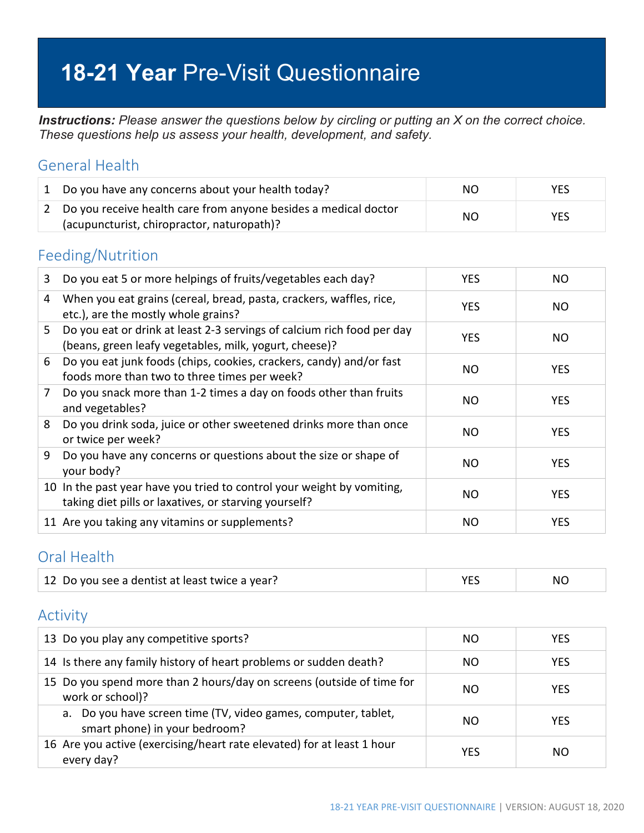# **18-21 Year** Pre-Visit Questionnaire

*Instructions: Please answer the questions below by circling or putting an X on the correct choice. These questions help us assess your health, development, and safety.*

#### General Health

| 1 Do you have any concerns about your health today?                                                             | NO. | YES. |
|-----------------------------------------------------------------------------------------------------------------|-----|------|
| 2 Do you receive health care from anyone besides a medical doctor<br>(acupuncturist, chiropractor, naturopath)? | NO. | YES. |

#### Feeding/Nutrition

| 3 | Do you eat 5 or more helpings of fruits/vegetables each day?                                                                     | <b>YES</b> | NO.        |
|---|----------------------------------------------------------------------------------------------------------------------------------|------------|------------|
| 4 | When you eat grains (cereal, bread, pasta, crackers, waffles, rice,<br>etc.), are the mostly whole grains?                       | <b>YES</b> | NO.        |
| 5 | Do you eat or drink at least 2-3 servings of calcium rich food per day<br>(beans, green leafy vegetables, milk, yogurt, cheese)? | <b>YES</b> | NO.        |
| 6 | Do you eat junk foods (chips, cookies, crackers, candy) and/or fast<br>foods more than two to three times per week?              | NO         | <b>YES</b> |
| 7 | Do you snack more than 1-2 times a day on foods other than fruits<br>and vegetables?                                             | NO         | <b>YES</b> |
| 8 | Do you drink soda, juice or other sweetened drinks more than once<br>or twice per week?                                          | NO.        | <b>YES</b> |
| 9 | Do you have any concerns or questions about the size or shape of<br>your body?                                                   | NO         | <b>YES</b> |
|   | 10 In the past year have you tried to control your weight by vomiting,<br>taking diet pills or laxatives, or starving yourself?  | NO         | <b>YES</b> |
|   | 11 Are you taking any vitamins or supplements?                                                                                   | NO         | <b>YES</b> |

#### Oral Health

| 12 Do you see a dentist at least twice a year? |  | NC. |
|------------------------------------------------|--|-----|
|------------------------------------------------|--|-----|

#### Activity

| 13 Do you play any competitive sports?                                                          | NO. | <b>YES</b> |
|-------------------------------------------------------------------------------------------------|-----|------------|
| 14 Is there any family history of heart problems or sudden death?                               | NO. | <b>YES</b> |
| 15 Do you spend more than 2 hours/day on screens (outside of time for<br>work or school)?       | NO. | <b>YES</b> |
| a. Do you have screen time (TV, video games, computer, tablet,<br>smart phone) in your bedroom? | NO. | <b>YES</b> |
| 16 Are you active (exercising/heart rate elevated) for at least 1 hour<br>every day?            | YES | NO.        |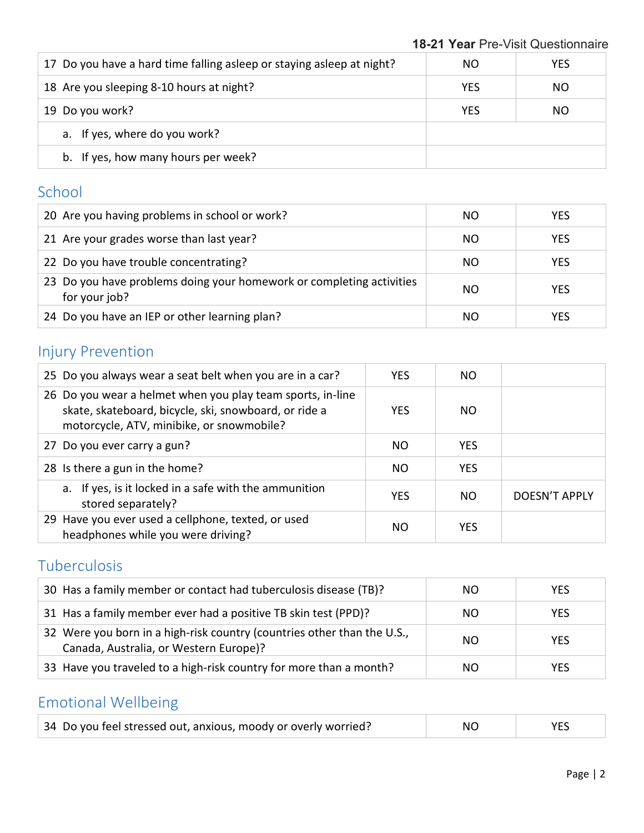| 17 Do you have a hard time falling asleep or staying asleep at night? | NO.        | <b>YES</b> |
|-----------------------------------------------------------------------|------------|------------|
| 18 Are you sleeping 8-10 hours at night?                              | <b>YES</b> | NO.        |
| 19 Do you work?                                                       | <b>YES</b> | NO.        |
| a. If yes, where do you work?                                         |            |            |
| b. If yes, how many hours per week?                                   |            |            |

### School

| 20 Are you having problems in school or work?                                         | NO. | <b>YES</b> |
|---------------------------------------------------------------------------------------|-----|------------|
| 21 Are your grades worse than last year?                                              | NO. | <b>YES</b> |
| 22 Do you have trouble concentrating?                                                 | NO. | <b>YES</b> |
| 23 Do you have problems doing your homework or completing activities<br>for your job? | NO. | <b>YES</b> |
| 24 Do you have an IEP or other learning plan?                                         | NO. | <b>YES</b> |

### Injury Prevention

| 25 Do you always wear a seat belt when you are in a car?                                                                                                         | <b>YES</b> | NO.        |                      |
|------------------------------------------------------------------------------------------------------------------------------------------------------------------|------------|------------|----------------------|
| 26 Do you wear a helmet when you play team sports, in-line<br>skate, skateboard, bicycle, ski, snowboard, or ride a<br>motorcycle, ATV, minibike, or snowmobile? | <b>YES</b> | NO.        |                      |
| 27 Do you ever carry a gun?                                                                                                                                      | NO.        | <b>YES</b> |                      |
| 28 Is there a gun in the home?                                                                                                                                   | NO.        | <b>YES</b> |                      |
| a. If yes, is it locked in a safe with the ammunition<br>stored separately?                                                                                      | <b>YES</b> | NO.        | <b>DOESN'T APPLY</b> |
| 29 Have you ever used a cellphone, texted, or used<br>headphones while you were driving?                                                                         | NO.        | <b>YES</b> |                      |

### Tuberculosis

| 30 Has a family member or contact had tuberculosis disease (TB)?                                                  | NO. | <b>YES</b> |
|-------------------------------------------------------------------------------------------------------------------|-----|------------|
| 31 Has a family member ever had a positive TB skin test (PPD)?                                                    | ΝO  | <b>YES</b> |
| 32 Were you born in a high-risk country (countries other than the U.S.,<br>Canada, Australia, or Western Europe)? | NO. | <b>YES</b> |
| 33 Have you traveled to a high-risk country for more than a month?                                                | NΟ  | <b>YES</b> |

## Emotional Wellbeing

| 34 Do you feel stressed out, anxious, moody or overly worried? | NΟ | <b>YES</b> |
|----------------------------------------------------------------|----|------------|
|----------------------------------------------------------------|----|------------|